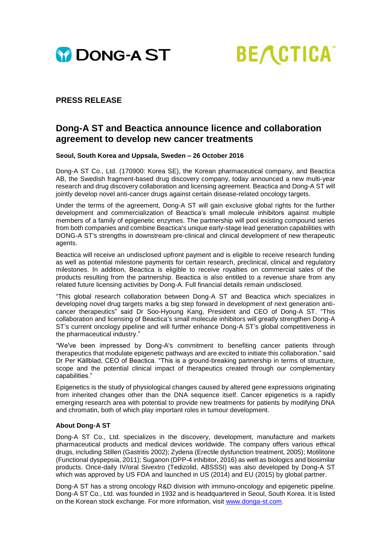



## **PRESS RELEASE**

# **Dong-A ST and Beactica announce licence and collaboration agreement to develop new cancer treatments**

#### **Seoul, South Korea and Uppsala, Sweden – 26 October 2016**

Dong-A ST Co., Ltd. (170900: Korea SE), the Korean pharmaceutical company, and Beactica AB, the Swedish fragment-based drug discovery company, today announced a new multi-year research and drug discovery collaboration and licensing agreement. Beactica and Dong-A ST will jointly develop novel anti-cancer drugs against certain disease-related oncology targets.

Under the terms of the agreement, Dong-A ST will gain exclusive global rights for the further development and commercialization of Beactica's small molecule inhibitors against multiple members of a family of epigenetic enzymes. The partnership will pool existing compound series from both companies and combine Beactica's unique early-stage lead generation capabilities with DONG-A ST's strengths in downstream pre-clinical and clinical development of new therapeutic agents.

Beactica will receive an undisclosed upfront payment and is eligible to receive research funding as well as potential milestone payments for certain research, preclinical, clinical and regulatory milestones. In addition, Beactica is eligible to receive royalties on commercial sales of the products resulting from the partnership. Beactica is also entitled to a revenue share from any related future licensing activities by Dong-A. Full financial details remain undisclosed.

"This global research collaboration between Dong-A ST and Beactica which specializes in developing novel drug targets marks a big step forward in development of next generation anticancer therapeutics" said Dr Soo-Hyoung Kang, President and CEO of Dong-A ST. "This collaboration and licensing of Beactica's small molecule inhibitors will greatly strengthen Dong-A ST's current oncology pipeline and will further enhance Dong-A ST's global competitiveness in the pharmaceutical industry."

"We've been impressed by Dong-A's commitment to benefiting cancer patients through therapeutics that modulate epigenetic pathways and are excited to initiate this collaboration." said Dr Per Källblad, CEO of Beactica. "This is a ground-breaking partnership in terms of structure, scope and the potential clinical impact of therapeutics created through our complementary capabilities."

Epigenetics is the study of physiological changes caused by altered gene expressions originating from inherited changes other than the DNA sequence itself. Cancer epigenetics is a rapidly emerging research area with potential to provide new treatments for patients by modifying DNA and chromatin, both of which play important roles in tumour development.

### **About Dong-A ST**

Dong-A ST Co., Ltd. specializes in the discovery, development, manufacture and markets pharmaceutical products and medical devices worldwide. The company offers various ethical drugs, including Stillen (Gastritis 2002); Zydena (Erectile dysfunction treatment, 2005); Motilitone (Functional dyspepsia, 2011); Suganon (DPP-4 inhibitor, 2016) as well as biologics and biosimilar products. Once-daily IV/oral Sivextro (Tedizolid, ABSSSI) was also developed by Dong-A ST which was approved by US FDA and launched in US (2014) and EU (2015) by global partner.

Dong-A ST has a strong oncology R&D division with immuno-oncology and epigenetic pipeline. Dong-A ST Co., Ltd. was founded in 1932 and is headquartered in Seoul, South Korea. It is listed on the Korean stock exchange. For more information, visit [www.donga-st.com.](http://www.donga-st.com/)